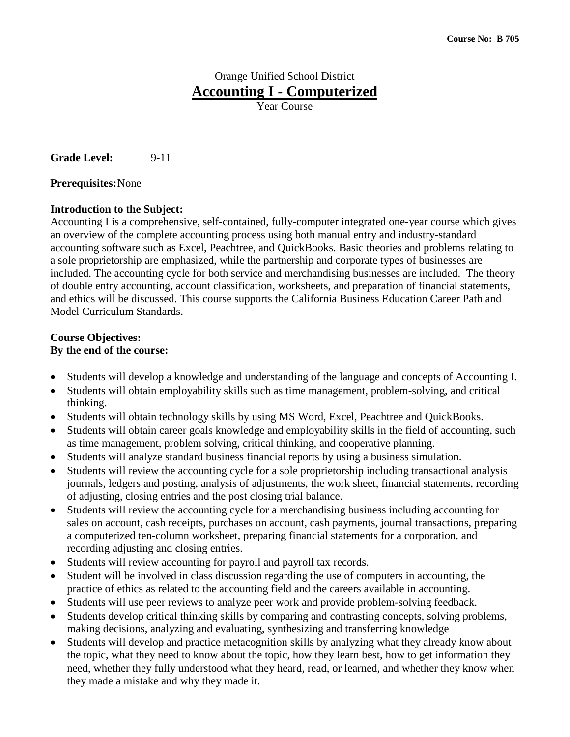# Orange Unified School District **Accounting I - Computerized**

Year Course

Grade Level: 9-11

**Prerequisites:**None

#### **Introduction to the Subject:**

Accounting I is a comprehensive, self-contained, fully-computer integrated one-year course which gives an overview of the complete accounting process using both manual entry and industry-standard accounting software such as Excel, Peachtree, and QuickBooks. Basic theories and problems relating to a sole proprietorship are emphasized, while the partnership and corporate types of businesses are included. The accounting cycle for both service and merchandising businesses are included. The theory of double entry accounting, account classification, worksheets, and preparation of financial statements, and ethics will be discussed. This course supports the California Business Education Career Path and Model Curriculum Standards.

#### **Course Objectives: By the end of the course:**

- Students will develop a knowledge and understanding of the language and concepts of Accounting I.
- Students will obtain employability skills such as time management, problem-solving, and critical thinking.
- Students will obtain technology skills by using MS Word, Excel, Peachtree and QuickBooks.
- Students will obtain career goals knowledge and employability skills in the field of accounting, such as time management, problem solving, critical thinking, and cooperative planning.
- Students will analyze standard business financial reports by using a business simulation.
- Students will review the accounting cycle for a sole proprietorship including transactional analysis journals, ledgers and posting, analysis of adjustments, the work sheet, financial statements, recording of adjusting, closing entries and the post closing trial balance.
- Students will review the accounting cycle for a merchandising business including accounting for sales on account, cash receipts, purchases on account, cash payments, journal transactions, preparing a computerized ten-column worksheet, preparing financial statements for a corporation, and recording adjusting and closing entries.
- Students will review accounting for payroll and payroll tax records.
- Student will be involved in class discussion regarding the use of computers in accounting, the practice of ethics as related to the accounting field and the careers available in accounting.
- Students will use peer reviews to analyze peer work and provide problem-solving feedback.
- Students develop critical thinking skills by comparing and contrasting concepts, solving problems, making decisions, analyzing and evaluating, synthesizing and transferring knowledge
- Students will develop and practice metacognition skills by analyzing what they already know about the topic, what they need to know about the topic, how they learn best, how to get information they need, whether they fully understood what they heard, read, or learned, and whether they know when they made a mistake and why they made it.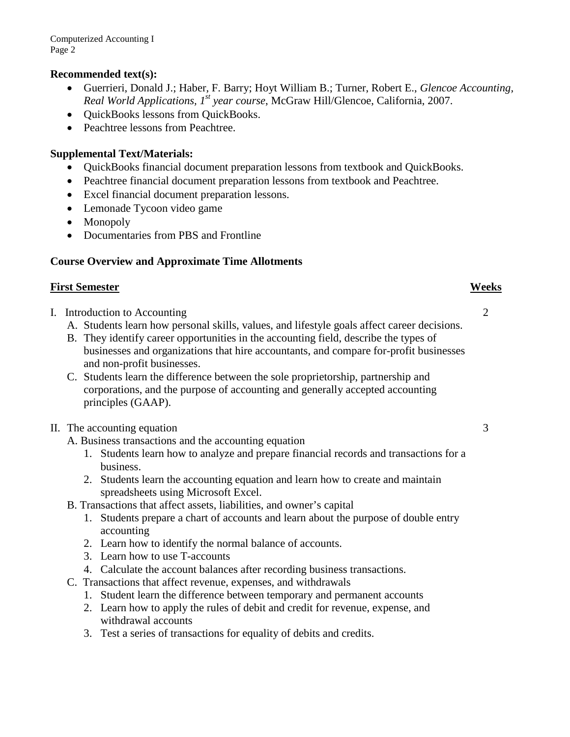#### **Recommended text(s):**

- Guerrieri, Donald J.; Haber, F. Barry; Hoyt William B.; Turner, Robert E., *Glencoe Accounting, Real World Applications, 1st year course*, McGraw Hill/Glencoe, California, 2007.
- QuickBooks lessons from QuickBooks.
- Peachtree lessons from Peachtree.

#### **Supplemental Text/Materials:**

- QuickBooks financial document preparation lessons from textbook and QuickBooks.
- Peachtree financial document preparation lessons from textbook and Peachtree.
- Excel financial document preparation lessons.
- Lemonade Tycoon video game
- Monopoly
- Documentaries from PBS and Frontline

#### **Course Overview and Approximate Time Allotments**

#### **First Semester Weeks**

- I. Introduction to Accounting 2
	- A. Students learn how personal skills, values, and lifestyle goals affect career decisions.
	- B. They identify career opportunities in the accounting field, describe the types of businesses and organizations that hire accountants, and compare for-profit businesses and non-profit businesses.
	- C. Students learn the difference between the sole proprietorship, partnership and corporations, and the purpose of accounting and generally accepted accounting principles (GAAP).

#### II. The accounting equation 3

- A. Business transactions and the accounting equation
	- 1. Students learn how to analyze and prepare financial records and transactions for a business.
	- 2. Students learn the accounting equation and learn how to create and maintain spreadsheets using Microsoft Excel.
- B. Transactions that affect assets, liabilities, and owner's capital
	- 1. Students prepare a chart of accounts and learn about the purpose of double entry accounting
	- 2. Learn how to identify the normal balance of accounts.
	- 3. Learn how to use T-accounts
	- 4. Calculate the account balances after recording business transactions.
- C. Transactions that affect revenue, expenses, and withdrawals
	- 1. Student learn the difference between temporary and permanent accounts
	- 2. Learn how to apply the rules of debit and credit for revenue, expense, and withdrawal accounts
	- 3. Test a series of transactions for equality of debits and credits.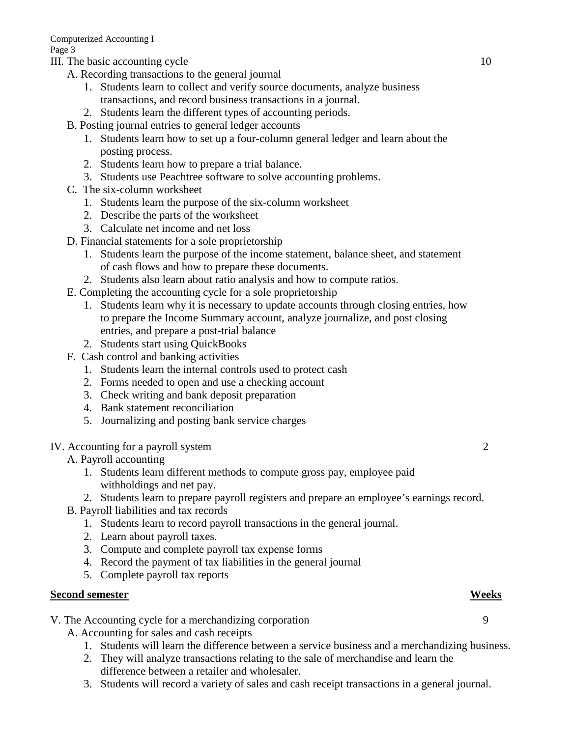Page 3

- III. The basic accounting cycle 10
	- A. Recording transactions to the general journal
		- 1. Students learn to collect and verify source documents, analyze business transactions, and record business transactions in a journal.
		- 2. Students learn the different types of accounting periods.
	- B. Posting journal entries to general ledger accounts
		- 1. Students learn how to set up a four-column general ledger and learn about the posting process.
		- 2. Students learn how to prepare a trial balance.
		- 3. Students use Peachtree software to solve accounting problems.
	- C. The six-column worksheet
		- 1. Students learn the purpose of the six-column worksheet
		- 2. Describe the parts of the worksheet
		- 3. Calculate net income and net loss
	- D. Financial statements for a sole proprietorship
		- 1. Students learn the purpose of the income statement, balance sheet, and statement of cash flows and how to prepare these documents.
		- 2. Students also learn about ratio analysis and how to compute ratios.
	- E. Completing the accounting cycle for a sole proprietorship
		- 1. Students learn why it is necessary to update accounts through closing entries, how to prepare the Income Summary account, analyze journalize, and post closing entries, and prepare a post-trial balance
		- 2. Students start using QuickBooks
	- F. Cash control and banking activities
		- 1. Students learn the internal controls used to protect cash
		- 2. Forms needed to open and use a checking account
		- 3. Check writing and bank deposit preparation
		- 4. Bank statement reconciliation
		- 5. Journalizing and posting bank service charges

# IV. Accounting for a payroll system 2

- A. Payroll accounting
	- 1. Students learn different methods to compute gross pay, employee paid withholdings and net pay.
	- 2. Students learn to prepare payroll registers and prepare an employee's earnings record.
- B. Payroll liabilities and tax records
	- 1. Students learn to record payroll transactions in the general journal.
	- 2. Learn about payroll taxes.
	- 3. Compute and complete payroll tax expense forms
	- 4. Record the payment of tax liabilities in the general journal
	- 5. Complete payroll tax reports

# **Second semester Weeks**

- V. The Accounting cycle for a merchandizing corporation 9
	- A. Accounting for sales and cash receipts
		- 1. Students will learn the difference between a service business and a merchandizing business.
		- 2. They will analyze transactions relating to the sale of merchandise and learn the difference between a retailer and wholesaler.
		- 3. Students will record a variety of sales and cash receipt transactions in a general journal.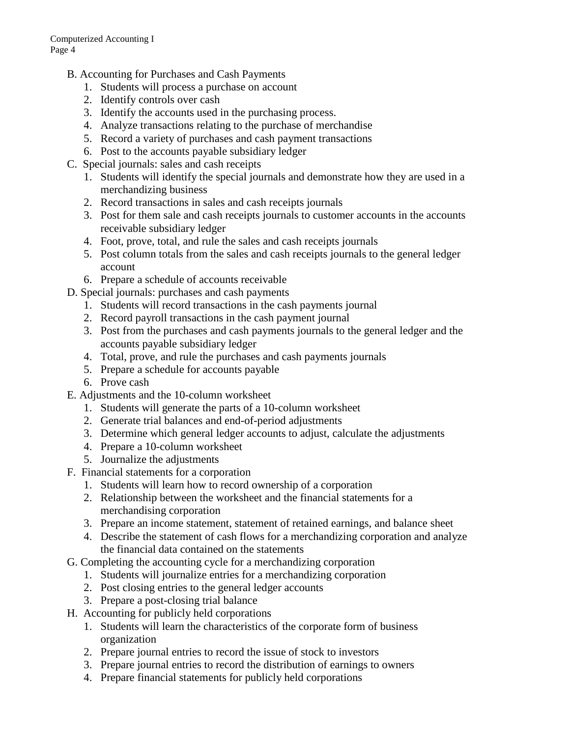- B. Accounting for Purchases and Cash Payments
	- 1. Students will process a purchase on account
	- 2. Identify controls over cash
	- 3. Identify the accounts used in the purchasing process.
	- 4. Analyze transactions relating to the purchase of merchandise
	- 5. Record a variety of purchases and cash payment transactions
	- 6. Post to the accounts payable subsidiary ledger
- C. Special journals: sales and cash receipts
	- 1. Students will identify the special journals and demonstrate how they are used in a merchandizing business
	- 2. Record transactions in sales and cash receipts journals
	- 3. Post for them sale and cash receipts journals to customer accounts in the accounts receivable subsidiary ledger
	- 4. Foot, prove, total, and rule the sales and cash receipts journals
	- 5. Post column totals from the sales and cash receipts journals to the general ledger account
	- 6. Prepare a schedule of accounts receivable
- D. Special journals: purchases and cash payments
	- 1. Students will record transactions in the cash payments journal
	- 2. Record payroll transactions in the cash payment journal
	- 3. Post from the purchases and cash payments journals to the general ledger and the accounts payable subsidiary ledger
	- 4. Total, prove, and rule the purchases and cash payments journals
	- 5. Prepare a schedule for accounts payable
	- 6. Prove cash
- E. Adjustments and the 10-column worksheet
	- 1. Students will generate the parts of a 10-column worksheet
	- 2. Generate trial balances and end-of-period adjustments
	- 3. Determine which general ledger accounts to adjust, calculate the adjustments
	- 4. Prepare a 10-column worksheet
	- 5. Journalize the adjustments
- F. Financial statements for a corporation
	- 1. Students will learn how to record ownership of a corporation
	- 2. Relationship between the worksheet and the financial statements for a merchandising corporation
	- 3. Prepare an income statement, statement of retained earnings, and balance sheet
	- 4. Describe the statement of cash flows for a merchandizing corporation and analyze the financial data contained on the statements
- G. Completing the accounting cycle for a merchandizing corporation
	- 1. Students will journalize entries for a merchandizing corporation
	- 2. Post closing entries to the general ledger accounts
	- 3. Prepare a post-closing trial balance
- H. Accounting for publicly held corporations
	- 1. Students will learn the characteristics of the corporate form of business organization
	- 2. Prepare journal entries to record the issue of stock to investors
	- 3. Prepare journal entries to record the distribution of earnings to owners
	- 4. Prepare financial statements for publicly held corporations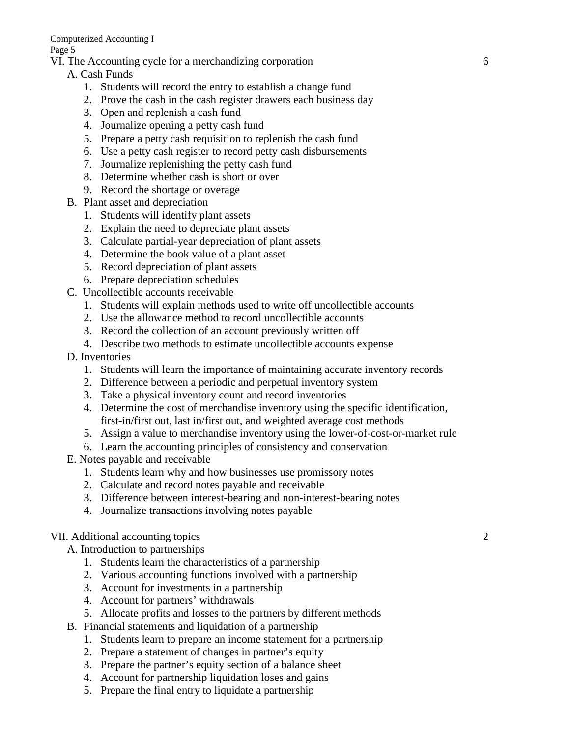Computerized Accounting I

Page 5

- VI. The Accounting cycle for a merchandizing corporation 6
	- A. Cash Funds
		- 1. Students will record the entry to establish a change fund
		- 2. Prove the cash in the cash register drawers each business day
		- 3. Open and replenish a cash fund
		- 4. Journalize opening a petty cash fund
		- 5. Prepare a petty cash requisition to replenish the cash fund
		- 6. Use a petty cash register to record petty cash disbursements
		- 7. Journalize replenishing the petty cash fund
		- 8. Determine whether cash is short or over
		- 9. Record the shortage or overage
	- B. Plant asset and depreciation
		- 1. Students will identify plant assets
		- 2. Explain the need to depreciate plant assets
		- 3. Calculate partial-year depreciation of plant assets
		- 4. Determine the book value of a plant asset
		- 5. Record depreciation of plant assets
		- 6. Prepare depreciation schedules
	- C. Uncollectible accounts receivable
		- 1. Students will explain methods used to write off uncollectible accounts
		- 2. Use the allowance method to record uncollectible accounts
		- 3. Record the collection of an account previously written off
		- 4. Describe two methods to estimate uncollectible accounts expense
	- D. Inventories
		- 1. Students will learn the importance of maintaining accurate inventory records
		- 2. Difference between a periodic and perpetual inventory system
		- 3. Take a physical inventory count and record inventories
		- 4. Determine the cost of merchandise inventory using the specific identification, first-in/first out, last in/first out, and weighted average cost methods
		- 5. Assign a value to merchandise inventory using the lower-of-cost-or-market rule
		- 6. Learn the accounting principles of consistency and conservation
	- E. Notes payable and receivable
		- 1. Students learn why and how businesses use promissory notes
		- 2. Calculate and record notes payable and receivable
		- 3. Difference between interest-bearing and non-interest-bearing notes
		- 4. Journalize transactions involving notes payable

# VII. Additional accounting topics 2

- A. Introduction to partnerships
	- 1. Students learn the characteristics of a partnership
	- 2. Various accounting functions involved with a partnership
	- 3. Account for investments in a partnership
	- 4. Account for partners' withdrawals
	- 5. Allocate profits and losses to the partners by different methods
- B. Financial statements and liquidation of a partnership
	- 1. Students learn to prepare an income statement for a partnership
	- 2. Prepare a statement of changes in partner's equity
	- 3. Prepare the partner's equity section of a balance sheet
	- 4. Account for partnership liquidation loses and gains
	- 5. Prepare the final entry to liquidate a partnership